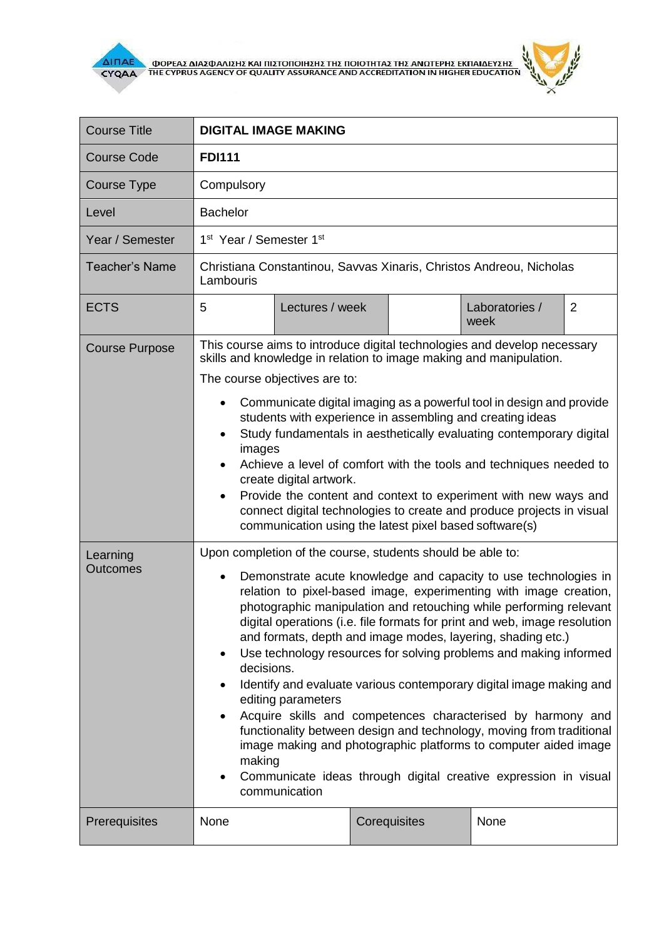

بير

| <b>Course Title</b>   | <b>DIGITAL IMAGE MAKING</b>                                                                                                                                                                                                                                                                                                                                                                                                                                                                                                                                                                                                                                                                                                                                                                                                                                                                                               |              |                             |  |
|-----------------------|---------------------------------------------------------------------------------------------------------------------------------------------------------------------------------------------------------------------------------------------------------------------------------------------------------------------------------------------------------------------------------------------------------------------------------------------------------------------------------------------------------------------------------------------------------------------------------------------------------------------------------------------------------------------------------------------------------------------------------------------------------------------------------------------------------------------------------------------------------------------------------------------------------------------------|--------------|-----------------------------|--|
| Course Code           | <b>FDI111</b>                                                                                                                                                                                                                                                                                                                                                                                                                                                                                                                                                                                                                                                                                                                                                                                                                                                                                                             |              |                             |  |
| <b>Course Type</b>    | Compulsory                                                                                                                                                                                                                                                                                                                                                                                                                                                                                                                                                                                                                                                                                                                                                                                                                                                                                                                |              |                             |  |
| Level                 | <b>Bachelor</b>                                                                                                                                                                                                                                                                                                                                                                                                                                                                                                                                                                                                                                                                                                                                                                                                                                                                                                           |              |                             |  |
| Year / Semester       | 1 <sup>st</sup> Year / Semester 1 <sup>st</sup>                                                                                                                                                                                                                                                                                                                                                                                                                                                                                                                                                                                                                                                                                                                                                                                                                                                                           |              |                             |  |
| <b>Teacher's Name</b> | Christiana Constantinou, Savvas Xinaris, Christos Andreou, Nicholas<br>Lambouris                                                                                                                                                                                                                                                                                                                                                                                                                                                                                                                                                                                                                                                                                                                                                                                                                                          |              |                             |  |
| <b>ECTS</b>           | 5<br>Lectures / week                                                                                                                                                                                                                                                                                                                                                                                                                                                                                                                                                                                                                                                                                                                                                                                                                                                                                                      |              | Laboratories /<br>2<br>week |  |
| <b>Course Purpose</b> | skills and knowledge in relation to image making and manipulation.<br>The course objectives are to:<br>Communicate digital imaging as a powerful tool in design and provide<br>students with experience in assembling and creating ideas<br>Study fundamentals in aesthetically evaluating contemporary digital<br>$\bullet$<br>images<br>Achieve a level of comfort with the tools and techniques needed to<br>create digital artwork.<br>Provide the content and context to experiment with new ways and<br>connect digital technologies to create and produce projects in visual<br>communication using the latest pixel based software(s)                                                                                                                                                                                                                                                                             |              |                             |  |
| Learning<br>Outcomes  | Upon completion of the course, students should be able to:<br>Demonstrate acute knowledge and capacity to use technologies in<br>relation to pixel-based image, experimenting with image creation,<br>photographic manipulation and retouching while performing relevant<br>digital operations (i.e. file formats for print and web, image resolution<br>and formats, depth and image modes, layering, shading etc.)<br>Use technology resources for solving problems and making informed<br>$\bullet$<br>decisions.<br>Identify and evaluate various contemporary digital image making and<br>editing parameters<br>Acquire skills and competences characterised by harmony and<br>functionality between design and technology, moving from traditional<br>image making and photographic platforms to computer aided image<br>making<br>Communicate ideas through digital creative expression in visual<br>communication |              |                             |  |
| Prerequisites         | None                                                                                                                                                                                                                                                                                                                                                                                                                                                                                                                                                                                                                                                                                                                                                                                                                                                                                                                      | Corequisites | None                        |  |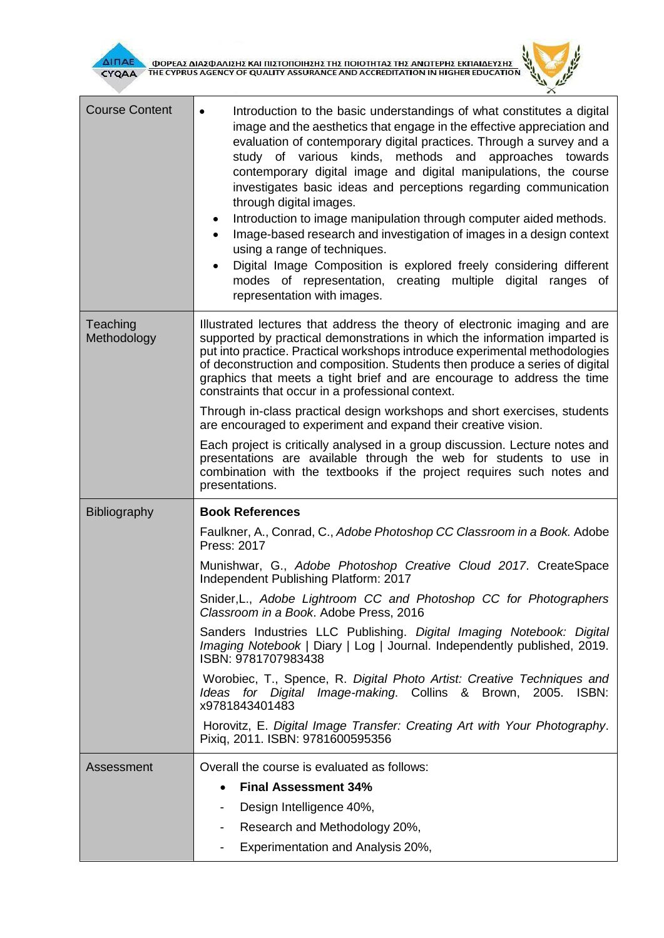

| <b>Course Content</b>   | Introduction to the basic understandings of what constitutes a digital<br>$\bullet$<br>image and the aesthetics that engage in the effective appreciation and<br>evaluation of contemporary digital practices. Through a survey and a<br>study of various kinds,<br>methods and approaches towards<br>contemporary digital image and digital manipulations, the course<br>investigates basic ideas and perceptions regarding communication<br>through digital images.<br>Introduction to image manipulation through computer aided methods.<br>٠<br>Image-based research and investigation of images in a design context<br>using a range of techniques.<br>Digital Image Composition is explored freely considering different<br>modes of representation, creating multiple digital ranges of<br>representation with images. |  |
|-------------------------|-------------------------------------------------------------------------------------------------------------------------------------------------------------------------------------------------------------------------------------------------------------------------------------------------------------------------------------------------------------------------------------------------------------------------------------------------------------------------------------------------------------------------------------------------------------------------------------------------------------------------------------------------------------------------------------------------------------------------------------------------------------------------------------------------------------------------------|--|
| Teaching<br>Methodology | Illustrated lectures that address the theory of electronic imaging and are<br>supported by practical demonstrations in which the information imparted is<br>put into practice. Practical workshops introduce experimental methodologies<br>of deconstruction and composition. Students then produce a series of digital<br>graphics that meets a tight brief and are encourage to address the time<br>constraints that occur in a professional context.                                                                                                                                                                                                                                                                                                                                                                       |  |
|                         | Through in-class practical design workshops and short exercises, students<br>are encouraged to experiment and expand their creative vision.                                                                                                                                                                                                                                                                                                                                                                                                                                                                                                                                                                                                                                                                                   |  |
|                         | Each project is critically analysed in a group discussion. Lecture notes and<br>presentations are available through the web for students to use in<br>combination with the textbooks if the project requires such notes and<br>presentations.                                                                                                                                                                                                                                                                                                                                                                                                                                                                                                                                                                                 |  |
| <b>Bibliography</b>     | <b>Book References</b>                                                                                                                                                                                                                                                                                                                                                                                                                                                                                                                                                                                                                                                                                                                                                                                                        |  |
|                         | Faulkner, A., Conrad, C., Adobe Photoshop CC Classroom in a Book. Adobe<br>Press: 2017                                                                                                                                                                                                                                                                                                                                                                                                                                                                                                                                                                                                                                                                                                                                        |  |
|                         | Munishwar, G., Adobe Photoshop Creative Cloud 2017. CreateSpace<br>Independent Publishing Platform: 2017                                                                                                                                                                                                                                                                                                                                                                                                                                                                                                                                                                                                                                                                                                                      |  |
|                         | Snider, L., Adobe Lightroom CC and Photoshop CC for Photographers<br>Classroom in a Book. Adobe Press, 2016                                                                                                                                                                                                                                                                                                                                                                                                                                                                                                                                                                                                                                                                                                                   |  |
|                         | Sanders Industries LLC Publishing. Digital Imaging Notebook: Digital<br>Imaging Notebook   Diary   Log   Journal. Independently published, 2019.<br>ISBN: 9781707983438                                                                                                                                                                                                                                                                                                                                                                                                                                                                                                                                                                                                                                                       |  |
|                         | Worobiec, T., Spence, R. Digital Photo Artist: Creative Techniques and<br>Ideas for Digital Image-making. Collins & Brown, 2005. ISBN:<br>x9781843401483                                                                                                                                                                                                                                                                                                                                                                                                                                                                                                                                                                                                                                                                      |  |
|                         | Horovitz, E. Digital Image Transfer: Creating Art with Your Photography.<br>Pixiq, 2011. ISBN: 9781600595356                                                                                                                                                                                                                                                                                                                                                                                                                                                                                                                                                                                                                                                                                                                  |  |
| Assessment              | Overall the course is evaluated as follows:                                                                                                                                                                                                                                                                                                                                                                                                                                                                                                                                                                                                                                                                                                                                                                                   |  |
|                         | <b>Final Assessment 34%</b>                                                                                                                                                                                                                                                                                                                                                                                                                                                                                                                                                                                                                                                                                                                                                                                                   |  |
|                         | Design Intelligence 40%,                                                                                                                                                                                                                                                                                                                                                                                                                                                                                                                                                                                                                                                                                                                                                                                                      |  |
|                         | Research and Methodology 20%,                                                                                                                                                                                                                                                                                                                                                                                                                                                                                                                                                                                                                                                                                                                                                                                                 |  |
|                         | Experimentation and Analysis 20%,                                                                                                                                                                                                                                                                                                                                                                                                                                                                                                                                                                                                                                                                                                                                                                                             |  |